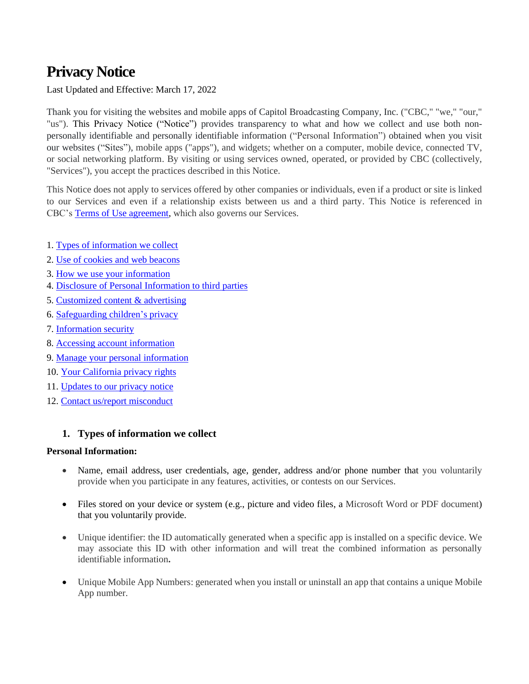# **Privacy Notice**

Last Updated and Effective: March 17, 2022

Thank you for visiting the websites and mobile apps of Capitol Broadcasting Company, Inc. ("CBC," "we," "our," "us"). This Privacy Notice ("Notice") provides transparency to what and how we collect and use both nonpersonally identifiable and personally identifiable information ("Personal Information") obtained when you visit our websites ("Sites"), mobile apps ("apps"), and widgets; whether on a computer, mobile device, connected TV, or social networking platform. By visiting or using services owned, operated, or provided by CBC (collectively, "Services"), you accept the practices described in this Notice.

This Notice does not apply to services offered by other companies or individuals, even if a product or site is linked to our Services and even if a relationship exists between us and a third party. This Notice is referenced in CBC's [Terms of Use agreement,](https://capitolbroadcasting.com/terms-of-use/) which also governs our Services.

- 1. [Types of information we collect](#page-0-0)
- 2. [Use of cookies and web beacons](#page-2-0)
- 3. [How we use your information](#page-2-1)
- 4. Disclosure [of Personal Information to third parties](#page-3-0)
- 5. [Customized content & advertising](#page-4-0)
- 6. [Safeguarding children's privacy](#page-4-1)
- 7. [Information security](#page-5-0)
- 8. [Accessing account information](#page-5-1)
- 9. [Manage your personal information](#page-5-2)
- 10. [Your California privacy rights](#page-6-0)
- 11. [Updates to our privacy notice](#page-6-1)
- 12. [Contact us/report misconduct](#page-6-2)

# <span id="page-0-0"></span>**1. Types of information we collect**

## **Personal Information:**

- Name, email address, user credentials, age, gender, address and/or phone number that you voluntarily provide when you participate in any features, activities, or contests on our Services.
- Files stored on your device or system (e.g., picture and video files, a Microsoft Word or PDF document) that you voluntarily provide.
- Unique identifier: the ID automatically generated when a specific app is installed on a specific device. We may associate this ID with other information and will treat the combined information as personally identifiable information**.**
- Unique Mobile App Numbers: generated when you install or uninstall an app that contains a unique Mobile App number.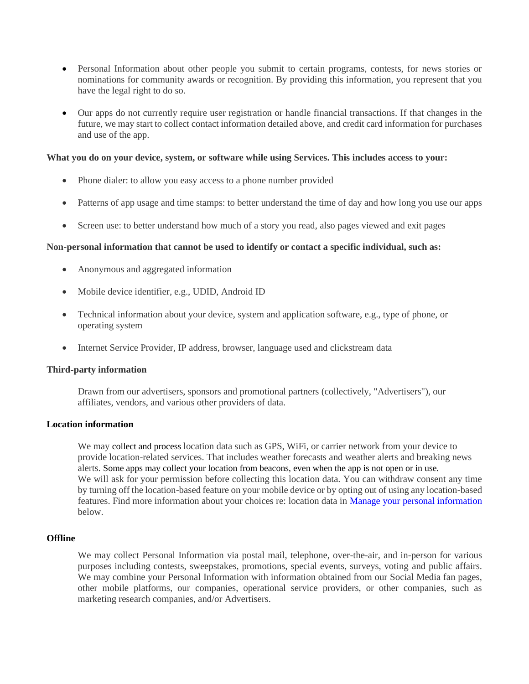- Personal Information about other people you submit to certain programs, contests, for news stories or nominations for community awards or recognition. By providing this information, you represent that you have the legal right to do so.
- Our apps do not currently require user registration or handle financial transactions. If that changes in the future, we may start to collect contact information detailed above, and credit card information for purchases and use of the app.

#### **What you do on your device, system, or software while using Services. This includes access to your:**

- Phone dialer: to allow you easy access to a phone number provided
- Patterns of app usage and time stamps: to better understand the time of day and how long you use our apps
- Screen use: to better understand how much of a story you read, also pages viewed and exit pages

## **Non-personal information that cannot be used to identify or contact a specific individual, such as:**

- Anonymous and aggregated information
- Mobile device identifier, e.g., UDID, Android ID
- Technical information about your device, system and application software, e.g., type of phone, or operating system
- Internet Service Provider, IP address, browser, language used and clickstream data

#### **Third-party information**

Drawn from our advertisers, sponsors and promotional partners (collectively, "Advertisers"), our affiliates, vendors, and various other providers of data.

#### **Location information**

We may collect and process location data such as GPS, WiFi, or carrier network from your device to provide location-related services. That includes weather forecasts and weather alerts and breaking news alerts. Some apps may collect your location from beacons, even when the app is not open or in use. We will ask for your permission before collecting this location data. You can withdraw consent any time by turning off the location-based feature on your mobile device or by opting out of using any location-based features. Find more information about your choices re: location data in [Manage your personal information](#page-5-2) below.

# **Offline**

We may collect Personal Information via postal mail, telephone, over-the-air, and in-person for various purposes including contests, sweepstakes, promotions, special events, surveys, voting and public affairs. We may combine your Personal Information with information obtained from our Social Media fan pages, other mobile platforms, our companies, operational service providers, or other companies, such as marketing research companies, and/or Advertisers.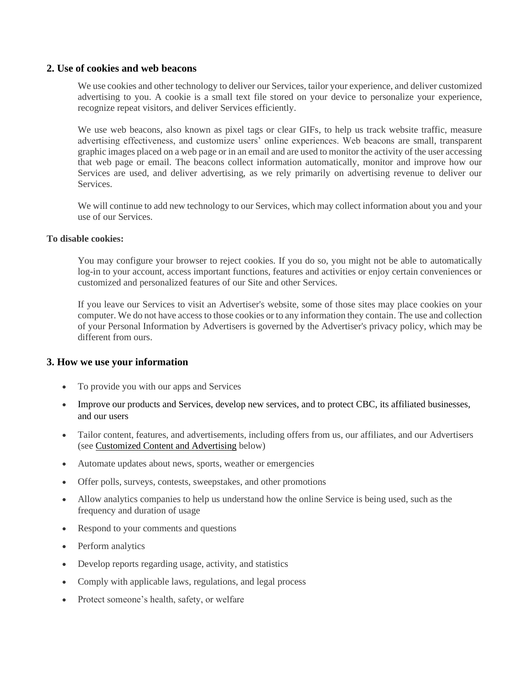## <span id="page-2-0"></span>**2. Use of cookies and web beacons**

We use cookies and other technology to deliver our Services, tailor your experience, and deliver customized advertising to you. A cookie is a small text file stored on your device to personalize your experience, recognize repeat visitors, and deliver Services efficiently.

We use web beacons, also known as pixel tags or clear GIFs, to help us track website traffic, measure advertising effectiveness, and customize users' online experiences. Web beacons are small, transparent graphic images placed on a web page or in an email and are used to monitor the activity of the user accessing that web page or email. The beacons collect information automatically, monitor and improve how our Services are used, and deliver advertising, as we rely primarily on advertising revenue to deliver our **Services** 

We will continue to add new technology to our Services, which may collect information about you and your use of our Services.

#### **To disable cookies:**

You may configure your browser to reject cookies. If you do so, you might not be able to automatically log-in to your account, access important functions, features and activities or enjoy certain conveniences or customized and personalized features of our Site and other Services.

If you leave our Services to visit an Advertiser's website, some of those sites may place cookies on your computer. We do not have access to those cookies or to any information they contain. The use and collection of your Personal Information by Advertisers is governed by the Advertiser's privacy policy, which may be different from ours.

## <span id="page-2-1"></span>**3. How we use your information**

- To provide you with our apps and Services
- Improve our products and Services, develop new services, and to protect CBC, its affiliated businesses, and our users
- Tailor content, features, and advertisements, including offers from us, our affiliates, and our Advertisers (see [Customized Content and Advertising](https://www.wral.com/rs/page/1020577/#customized-content-ads) below)
- Automate updates about news, sports, weather or emergencies
- Offer polls, surveys, contests, sweepstakes, and other promotions
- Allow analytics companies to help us understand how the online Service is being used, such as the frequency and duration of usage
- Respond to your comments and questions
- Perform analytics
- Develop reports regarding usage, activity, and statistics
- Comply with applicable laws, regulations, and legal process
- Protect someone's health, safety, or welfare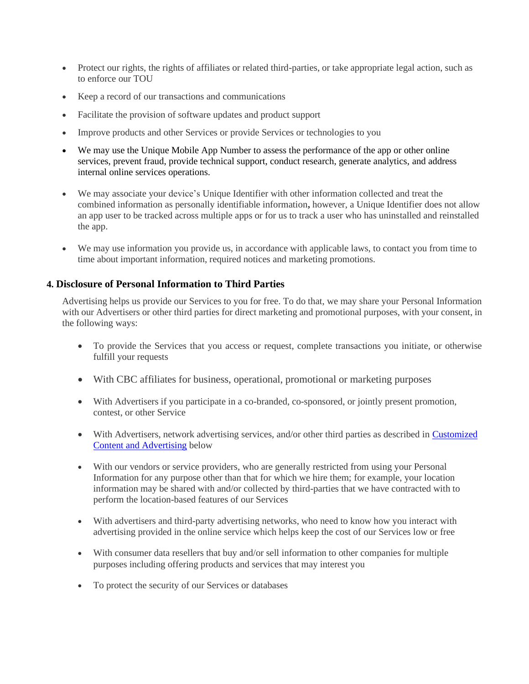- Protect our rights, the rights of affiliates or related third-parties, or take appropriate legal action, such as to enforce our TOU
- Keep a record of our transactions and communications
- Facilitate the provision of software updates and product support
- Improve products and other Services or provide Services or technologies to you
- We may use the Unique Mobile App Number to assess the performance of the app or other online services, prevent fraud, provide technical support, conduct research, generate analytics, and address internal online services operations.
- We may associate your device's Unique Identifier with other information collected and treat the combined information as personally identifiable information**,** however, a Unique Identifier does not allow an app user to be tracked across multiple apps or for us to track a user who has uninstalled and reinstalled the app.
- We may use information you provide us, in accordance with applicable laws, to contact you from time to time about important information, required notices and marketing promotions.

# <span id="page-3-0"></span>**4. Disclosure of Personal Information to Third Parties**

Advertising helps us provide our Services to you for free. To do that, we may share your Personal Information with our Advertisers or other third parties for direct marketing and promotional purposes, with your consent, in the following ways:

- To provide the Services that you access or request, complete transactions you initiate, or otherwise fulfill your requests
- With CBC affiliates for business, operational, promotional or marketing purposes
- With Advertisers if you participate in a co-branded, co-sponsored, or jointly present promotion, contest, or other Service
- With Advertisers, network advertising services, and/or other third parties as described in [Customized](#page-4-0)  [Content and Advertising](#page-4-0) below
- With our vendors or service providers, who are generally restricted from using your Personal Information for any purpose other than that for which we hire them; for example, your location information may be shared with and/or collected by third-parties that we have contracted with to perform the location-based features of our Services
- With advertisers and third-party advertising networks, who need to know how you interact with advertising provided in the online service which helps keep the cost of our Services low or free
- With consumer data resellers that buy and/or sell information to other companies for multiple purposes including offering products and services that may interest you
- To protect the security of our Services or databases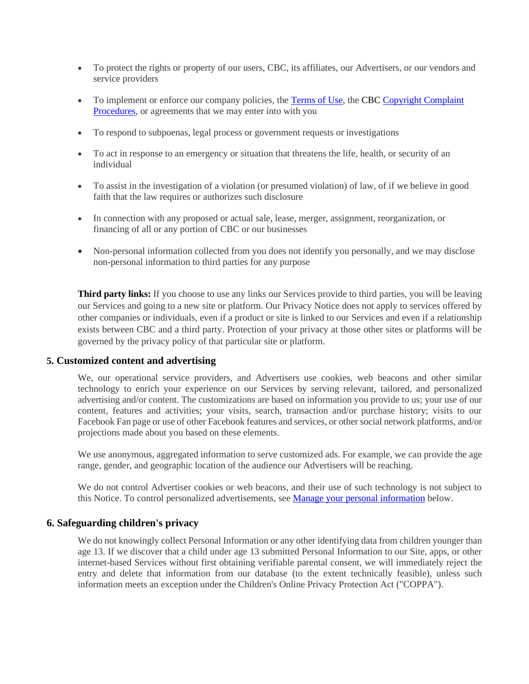- To protect the rights or property of our users, CBC, its affiliates, our Advertisers, or our vendors and service providers
- To implement or enforce our company policies, the [Terms of Use,](https://capitolbroadcasting.com/terms-of-use/) the CBC Copyright Complaint [Procedures,](https://www.wral.com/rs/page/1080203/) or agreements that we may enter into with you
- To respond to subpoenas, legal process or government requests or investigations
- To act in response to an emergency or situation that threatens the life, health, or security of an individual
- To assist in the investigation of a violation (or presumed violation) of law, of if we believe in good faith that the law requires or authorizes such disclosure
- In connection with any proposed or actual sale, lease, merger, assignment, reorganization, or financing of all or any portion of CBC or our businesses
- Non-personal information collected from you does not identify you personally, and we may disclose non-personal information to third parties for any purpose

**Third party links:** If you choose to use any links our Services provide to third parties, you will be leaving our Services and going to a new site or platform. Our Privacy Notice does not apply to services offered by other companies or individuals, even if a product or site is linked to our Services and even if a relationship exists between CBC and a third party. Protection of your privacy at those other sites or platforms will be governed by the privacy policy of that particular site or platform.

## <span id="page-4-0"></span>**5. Customized content and advertising**

We, our operational service providers, and Advertisers use cookies, web beacons and other similar technology to enrich your experience on our Services by serving relevant, tailored, and personalized advertising and/or content. The customizations are based on information you provide to us; your use of our content, features and activities; your visits, search, transaction and/or purchase history; visits to our Facebook Fan page or use of other Facebook features and services, or other social network platforms, and/or projections made about you based on these elements.

We use anonymous, aggregated information to serve customized ads. For example, we can provide the age range, gender, and geographic location of the audience our Advertisers will be reaching.

We do not control Advertiser cookies or web beacons, and their use of such technology is not subject to this Notice. To control personalized advertisements, see [Manage your personal information](#page-5-2) below.

## <span id="page-4-1"></span>**6. Safeguarding children's privacy**

We do not knowingly collect Personal Information or any other identifying data from children younger than age 13. If we discover that a child under age 13 submitted Personal Information to our Site, apps, or other internet-based Services without first obtaining verifiable parental consent, we will immediately reject the entry and delete that information from our database (to the extent technically feasible), unless such information meets an exception under the Children's Online Privacy Protection Act ("COPPA").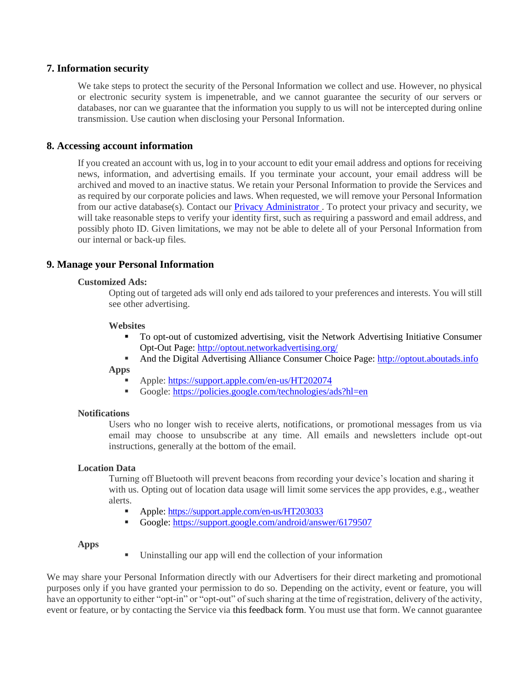## <span id="page-5-0"></span>**7. Information security**

We take steps to protect the security of the Personal Information we collect and use. However, no physical or electronic security system is impenetrable, and we cannot guarantee the security of our servers or databases, nor can we guarantee that the information you supply to us will not be intercepted during online transmission. Use caution when disclosing your Personal Information.

## <span id="page-5-1"></span>**8. Accessing account information**

If you created an account with us, log in to your account to edit your email address and options for receiving news, information, and advertising emails. If you terminate your account, your email address will be archived and moved to an inactive status. We retain your Personal Information to provide the Services and as required by our corporate policies and laws. When requested, we will remove your Personal Information from our active database(s). Contact our [Privacy Administrator](mailto:privacy_admin@capitolbroadcasting.com) . To protect your privacy and security, we will take reasonable steps to verify your identity first, such as requiring a password and email address, and possibly photo ID. Given limitations, we may not be able to delete all of your Personal Information from our internal or back-up files.

# <span id="page-5-2"></span>**9. Manage your Personal Information**

#### **Customized Ads:**

Opting out of targeted ads will only end ads tailored to your preferences and interests. You will still see other advertising.

#### **Websites**

- To opt-out of customized advertising, visit the Network Advertising Initiative Consumer Opt-Out Page: <http://optout.networkadvertising.org/>
- And the Digital Advertising Alliance Consumer Choice Page: [http://optout.aboutads.info](http://optout.aboutads.info/)

**Apps**

- Apple[: https://support.apple.com/en-us/HT202074](https://support.apple.com/en-us/HT202074)
- Google:<https://policies.google.com/technologies/ads?hl=en>

## **Notifications**

Users who no longer wish to receive alerts, notifications, or promotional messages from us via email may choose to unsubscribe at any time. All emails and newsletters include opt-out instructions, generally at the bottom of the email.

## **Location Data**

Turning off Bluetooth will prevent beacons from recording your device's location and sharing it with us. Opting out of location data usage will limit some services the app provides, e.g., weather alerts.

- [Apple:](https://support.apple.com/en-us/HT203033#:~:text=You%20can%20turn%20Location%20Services,Settings%20%3E%20Privacy%20%3E%20Location%20Services.) <https://support.apple.com/en-us/HT203033>
- [Google:](file:///C:/Users/jvenable/AppData/Local/Microsoft/Windows/INetCache/Content.Outlook/7TJ0U9E1/Google) <https://support.google.com/android/answer/6179507>

#### **Apps**

▪ Uninstalling our app will end the collection of your information

We may share your Personal Information directly with our Advertisers for their direct marketing and promotional purposes only if you have granted your permission to do so. Depending on the activity, event or feature, you will have an opportunity to either "opt-in" or "opt-out" of such sharing at the time of registration, delivery of the activity, event or feature, or by contacting the Service via [this feedback form.](https://www.wral.com/feedback/?d_id_person=214) You must use that form. We cannot guarantee